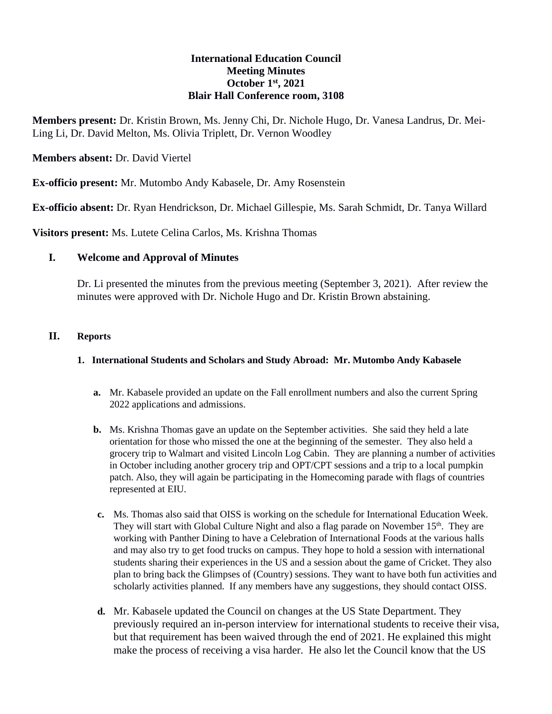### **International Education Council Meeting Minutes October 1 st, 2021 Blair Hall Conference room, 3108**

**Members present:** Dr. Kristin Brown, Ms. Jenny Chi, Dr. Nichole Hugo, Dr. Vanesa Landrus, Dr. Mei-Ling Li, Dr. David Melton, Ms. Olivia Triplett, Dr. Vernon Woodley

**Members absent:** Dr. David Viertel

**Ex-officio present:** Mr. Mutombo Andy Kabasele, Dr. Amy Rosenstein

**Ex-officio absent:** Dr. Ryan Hendrickson, Dr. Michael Gillespie, Ms. Sarah Schmidt, Dr. Tanya Willard

**Visitors present:** Ms. Lutete Celina Carlos, Ms. Krishna Thomas

## **I. Welcome and Approval of Minutes**

Dr. Li presented the minutes from the previous meeting (September 3, 2021). After review the minutes were approved with Dr. Nichole Hugo and Dr. Kristin Brown abstaining.

#### **II. Reports**

#### **1. International Students and Scholars and Study Abroad: Mr. Mutombo Andy Kabasele**

- **a.** Mr. Kabasele provided an update on the Fall enrollment numbers and also the current Spring 2022 applications and admissions.
- **b.** Ms. Krishna Thomas gave an update on the September activities. She said they held a late orientation for those who missed the one at the beginning of the semester. They also held a grocery trip to Walmart and visited Lincoln Log Cabin. They are planning a number of activities in October including another grocery trip and OPT/CPT sessions and a trip to a local pumpkin patch. Also, they will again be participating in the Homecoming parade with flags of countries represented at EIU.
- **c.** Ms. Thomas also said that OISS is working on the schedule for International Education Week. They will start with Global Culture Night and also a flag parade on November  $15<sup>th</sup>$ . They are working with Panther Dining to have a Celebration of International Foods at the various halls and may also try to get food trucks on campus. They hope to hold a session with international students sharing their experiences in the US and a session about the game of Cricket. They also plan to bring back the Glimpses of (Country) sessions. They want to have both fun activities and scholarly activities planned. If any members have any suggestions, they should contact OISS.
- **d.** Mr. Kabasele updated the Council on changes at the US State Department. They previously required an in-person interview for international students to receive their visa, but that requirement has been waived through the end of 2021. He explained this might make the process of receiving a visa harder. He also let the Council know that the US